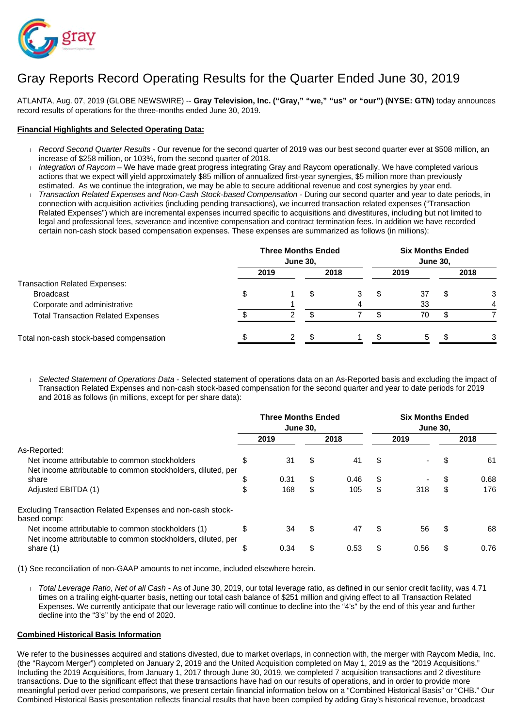

# Gray Reports Record Operating Results for the Quarter Ended June 30, 2019

ATLANTA, Aug. 07, 2019 (GLOBE NEWSWIRE) -- **Gray Television, Inc. ("Gray," "we," "us" or "our") (NYSE: GTN)** today announces record results of operations for the three-months ended June 30, 2019.

#### **Financial Highlights and Selected Operating Data:**

- Record Second Quarter Results Our revenue for the second quarter of 2019 was our best second quarter ever at \$508 million, an increase of \$258 million, or 103%, from the second quarter of 2018.
- Integration of Raycom We have made great progress integrating Gray and Raycom operationally. We have completed various actions that we expect will yield approximately \$85 million of annualized first-year synergies, \$5 million more than previously estimated. As we continue the integration, we may be able to secure additional revenue and cost synergies by year end.
- Transaction Related Expenses and Non-Cash Stock-based Compensation During our second quarter and year to date periods, in connection with acquisition activities (including pending transactions), we incurred transaction related expenses ("Transaction Related Expenses") which are incremental expenses incurred specific to acquisitions and divestitures, including but not limited to legal and professional fees, severance and incentive compensation and contract termination fees. In addition we have recorded certain non-cash stock based compensation expenses. These expenses are summarized as follows (in millions):

|                                           |      | <b>June 30,</b> | <b>Three Months Ended</b> |   | <b>Six Months Ended</b><br><b>June 30,</b> |      |
|-------------------------------------------|------|-----------------|---------------------------|---|--------------------------------------------|------|
|                                           | 2019 |                 | 2018                      |   | 2019                                       | 2018 |
| Transaction Related Expenses:             |      |                 |                           |   |                                            |      |
| <b>Broadcast</b>                          |      |                 |                           | S | 37                                         | 3    |
| Corporate and administrative              |      |                 |                           |   | 33                                         |      |
| <b>Total Transaction Related Expenses</b> |      |                 |                           |   | 70                                         |      |
| Total non-cash stock-based compensation   |      |                 |                           |   | 5                                          |      |

Selected Statement of Operations Data - Selected statement of operations data on an As-Reported basis and excluding the impact of Transaction Related Expenses and non-cash stock-based compensation for the second quarter and year to date periods for 2019 and 2018 as follows (in millions, except for per share data):

|                                                                                                                    | <b>Three Months Ended</b><br><b>June 30.</b> |    |      |    | <b>Six Months Ended</b><br><b>June 30.</b> |    |      |  |
|--------------------------------------------------------------------------------------------------------------------|----------------------------------------------|----|------|----|--------------------------------------------|----|------|--|
|                                                                                                                    | 2019                                         |    | 2018 |    | 2019                                       |    | 2018 |  |
| As-Reported:                                                                                                       |                                              |    |      |    |                                            |    |      |  |
| Net income attributable to common stockholders                                                                     | \$<br>31                                     | \$ | 41   | \$ |                                            | S  | 61   |  |
| Net income attributable to common stockholders, diluted, per                                                       |                                              |    |      |    |                                            |    |      |  |
| share                                                                                                              | \$<br>0.31                                   | \$ | 0.46 | \$ |                                            | S  | 0.68 |  |
| Adjusted EBITDA (1)                                                                                                | 168                                          | \$ | 105  | \$ | 318                                        | \$ | 176  |  |
| Excluding Transaction Related Expenses and non-cash stock-<br>based comp:                                          |                                              |    |      |    |                                            |    |      |  |
| Net income attributable to common stockholders (1)<br>Net income attributable to common stockholders, diluted, per | \$<br>34                                     | S  | 47   | \$ | 56                                         | S  | 68   |  |
| share (1)                                                                                                          | \$<br>0.34                                   |    | 0.53 | S  | 0.56                                       | S  | 0.76 |  |

(1) See reconciliation of non-GAAP amounts to net income, included elsewhere herein.

Total Leverage Ratio, Net of all Cash - As of June 30, 2019, our total leverage ratio, as defined in our senior credit facility, was 4.71 times on a trailing eight-quarter basis, netting our total cash balance of \$251 million and giving effect to all Transaction Related Expenses. We currently anticipate that our leverage ratio will continue to decline into the "4's" by the end of this year and further decline into the "3's" by the end of 2020.

#### **Combined Historical Basis Information**

We refer to the businesses acquired and stations divested, due to market overlaps, in connection with, the merger with Raycom Media, Inc. (the "Raycom Merger") completed on January 2, 2019 and the United Acquisition completed on May 1, 2019 as the "2019 Acquisitions." Including the 2019 Acquisitions, from January 1, 2017 through June 30, 2019, we completed 7 acquisition transactions and 2 divestiture transactions. Due to the significant effect that these transactions have had on our results of operations, and in order to provide more meaningful period over period comparisons, we present certain financial information below on a "Combined Historical Basis" or "CHB." Our Combined Historical Basis presentation reflects financial results that have been compiled by adding Gray's historical revenue, broadcast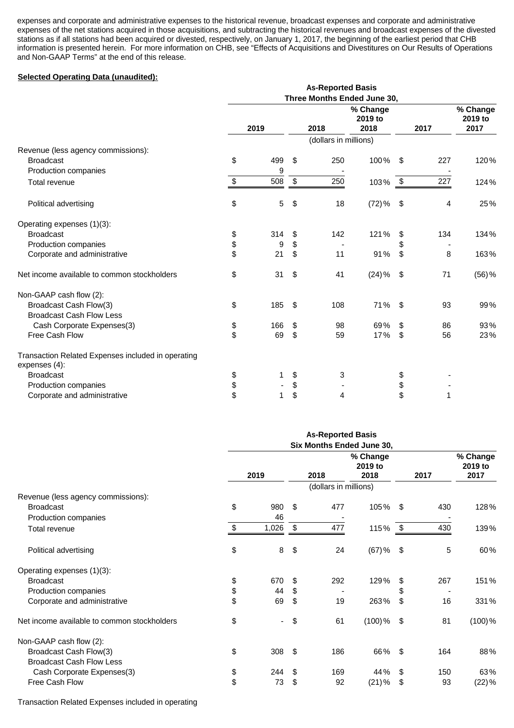expenses and corporate and administrative expenses to the historical revenue, broadcast expenses and corporate and administrative expenses of the net stations acquired in those acquisitions, and subtracting the historical revenues and broadcast expenses of the divested stations as if all stations had been acquired or divested, respectively, on January 1, 2017, the beginning of the earliest period that CHB information is presented herein. For more information on CHB, see "Effects of Acquisitions and Divestitures on Our Results of Operations and Non-GAAP Terms" at the end of this release.

#### **Selected Operating Data (unaudited):**

|                                                                     |           |      | <b>As-Reported Basis</b>    |                             |     |      |                             |
|---------------------------------------------------------------------|-----------|------|-----------------------------|-----------------------------|-----|------|-----------------------------|
|                                                                     |           |      | Three Months Ended June 30, |                             |     |      |                             |
|                                                                     | 2019      |      | 2018                        | % Change<br>2019 to<br>2018 |     | 2017 | % Change<br>2019 to<br>2017 |
|                                                                     |           |      | (dollars in millions)       |                             |     |      |                             |
| Revenue (less agency commissions):                                  |           |      |                             |                             |     |      |                             |
| <b>Broadcast</b>                                                    | \$<br>499 | \$   | 250                         | 100%                        | -\$ | 227  | 120%                        |
| Production companies                                                | 9         |      |                             |                             |     |      |                             |
| Total revenue                                                       | \$<br>508 | $\,$ | 250                         | 103%                        | \$  | 227  | 124%                        |
| Political advertising                                               | \$<br>5   | \$   | 18                          | $(72)$ %                    | \$  | 4    | 25%                         |
| Operating expenses (1)(3):                                          |           |      |                             |                             |     |      |                             |
| <b>Broadcast</b>                                                    | \$<br>314 | \$   | 142                         | 121%                        | \$  | 134  | 134%                        |
| Production companies                                                | \$<br>9   | \$   |                             |                             | S   |      |                             |
| Corporate and administrative                                        | \$<br>21  | \$   | 11                          | 91%                         | \$  | 8    | 163%                        |
| Net income available to common stockholders                         | \$<br>31  | \$   | 41                          | (24)%                       | \$  | 71   | $(56)$ %                    |
| Non-GAAP cash flow (2):                                             |           |      |                             |                             |     |      |                             |
| Broadcast Cash Flow(3)                                              | \$<br>185 | \$   | 108                         | 71%                         | -\$ | 93   | 99%                         |
| <b>Broadcast Cash Flow Less</b>                                     |           |      |                             |                             |     |      |                             |
| Cash Corporate Expenses(3)                                          | \$<br>166 | \$   | 98                          | 69%                         | \$  | 86   | 93%                         |
| Free Cash Flow                                                      | \$<br>69  | \$   | 59                          | 17%                         | \$  | 56   | 23%                         |
| Transaction Related Expenses included in operating<br>expenses (4): |           |      |                             |                             |     |      |                             |
| <b>Broadcast</b>                                                    | \$        | \$   | 3                           |                             | \$  |      |                             |
| Production companies                                                | \$        | \$   |                             |                             | \$  |      |                             |
| Corporate and administrative                                        | \$        | \$   | 4                           |                             | \$  | 1    |                             |

|                                                                                                                                                                           |                    |                | <b>As-Reported Basis</b><br>Six Months Ended June 30, |                             |                |            |                             |
|---------------------------------------------------------------------------------------------------------------------------------------------------------------------------|--------------------|----------------|-------------------------------------------------------|-----------------------------|----------------|------------|-----------------------------|
| 2019                                                                                                                                                                      |                    |                | 2018                                                  | % Change<br>2019 to<br>2018 |                | 2017       | % Change<br>2019 to<br>2017 |
|                                                                                                                                                                           |                    |                | (dollars in millions)                                 |                             |                |            |                             |
| Revenue (less agency commissions):                                                                                                                                        |                    |                |                                                       |                             |                |            |                             |
| \$<br><b>Broadcast</b>                                                                                                                                                    | 980                | \$             | 477                                                   | 105%                        | \$             | 430        | 128%                        |
|                                                                                                                                                                           |                    |                |                                                       |                             |                |            |                             |
| \$<br>Total revenue                                                                                                                                                       |                    |                |                                                       |                             |                |            | 139%                        |
| \$<br>Political advertising                                                                                                                                               | 8                  | \$             | 24                                                    | $(67)$ %                    | \$             | 5          | 60%                         |
|                                                                                                                                                                           |                    |                |                                                       |                             |                |            |                             |
| \$<br><b>Broadcast</b>                                                                                                                                                    | 670                | \$             | 292                                                   | 129%                        | \$             | 267        | 151%                        |
|                                                                                                                                                                           | 44                 |                |                                                       |                             | \$             |            |                             |
| \$<br>Corporate and administrative                                                                                                                                        | 69                 | \$             | 19                                                    | 263%                        | \$             | 16         | 331%                        |
| \$<br>Net income available to common stockholders                                                                                                                         | $\blacksquare$     | \$             | 61                                                    | $(100)$ %                   | \$             | 81         | $(100)$ %                   |
|                                                                                                                                                                           |                    |                |                                                       |                             |                |            |                             |
| \$                                                                                                                                                                        | 308                | \$             | 186                                                   | 66%                         | \$             | 164        | 88%                         |
| <b>Broadcast Cash Flow Less</b>                                                                                                                                           |                    |                |                                                       |                             |                |            |                             |
|                                                                                                                                                                           |                    |                |                                                       |                             |                |            | 63%                         |
| \$<br>Free Cash Flow                                                                                                                                                      | 73                 | \$             | 92                                                    |                             |                | 93         | (22)%                       |
| Production companies<br>Operating expenses (1)(3):<br>\$<br>Production companies<br>Non-GAAP cash flow (2):<br>Broadcast Cash Flow(3)<br>\$<br>Cash Corporate Expenses(3) | 46<br>1,026<br>244 | \$<br>\$<br>\$ | 477<br>169                                            | 115%<br>44%<br>$(21)$ %     | \$<br>\$<br>\$ | 430<br>150 |                             |

Transaction Related Expenses included in operating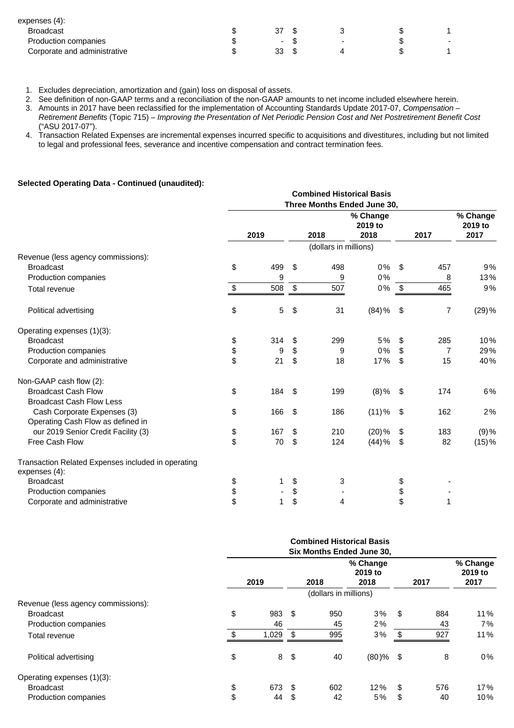| expenses (4):                |                |                          |        |
|------------------------------|----------------|--------------------------|--------|
| <b>Broadcast</b>             |                |                          |        |
| Production companies         | $\blacksquare$ | $\overline{\phantom{0}}$ | $\sim$ |
| Corporate and administrative | 33             |                          |        |

- 1. Excludes depreciation, amortization and (gain) loss on disposal of assets.
- 2. See definition of non-GAAP terms and a reconciliation of the non-GAAP amounts to net income included elsewhere herein.
- 3. Amounts in 2017 have been reclassified for the implementation of Accounting Standards Update 2017-07, Compensation Retirement Benefits (Topic 715) – Improving the Presentation of Net Periodic Pension Cost and Net Postretirement Benefit Cost ("ASU 2017-07").
- 4. Transaction Related Expenses are incremental expenses incurred specific to acquisitions and divestitures, including but not limited to legal and professional fees, severance and incentive compensation and contract termination fees.

#### **Selected Operating Data - Continued (unaudited):**

|                                                                     |    |      |                           | <b>Combined Historical Basis</b> | Three Months Ended June 30, |     |      |                             |
|---------------------------------------------------------------------|----|------|---------------------------|----------------------------------|-----------------------------|-----|------|-----------------------------|
|                                                                     |    | 2019 |                           | 2018                             | % Change<br>2019 to<br>2018 |     | 2017 | % Change<br>2019 to<br>2017 |
|                                                                     |    |      |                           | (dollars in millions)            |                             |     |      |                             |
| Revenue (less agency commissions):                                  |    |      |                           |                                  |                             |     |      |                             |
| <b>Broadcast</b>                                                    | \$ | 499  | \$                        | 498                              | 0%                          | \$  | 457  | 9%                          |
| Production companies                                                |    | 9    |                           | 9                                | 0%                          |     | 8    | 13%                         |
| Total revenue                                                       | S  | 508  | $\boldsymbol{\mathsf{S}}$ | 507                              | 0%                          | \$  | 465  | 9%                          |
| Political advertising                                               | \$ | 5    | \$                        | 31                               | $(84)$ %                    | \$  | 7    | $(29)$ %                    |
| Operating expenses (1)(3):                                          |    |      |                           |                                  |                             |     |      |                             |
| <b>Broadcast</b>                                                    | \$ | 314  | \$                        | 299                              | 5%                          | \$  | 285  | 10%                         |
| Production companies                                                | \$ | 9    | \$                        | 9                                | 0%                          | \$  | 7    | 29%                         |
| Corporate and administrative                                        | \$ | 21   | \$                        | 18                               | 17%                         | \$  | 15   | 40%                         |
| Non-GAAP cash flow (2):                                             |    |      |                           |                                  |                             |     |      |                             |
| <b>Broadcast Cash Flow</b>                                          | \$ | 184  | \$                        | 199                              | $(8)\%$                     | -\$ | 174  | 6%                          |
| <b>Broadcast Cash Flow Less</b>                                     |    |      |                           |                                  |                             |     |      |                             |
| Cash Corporate Expenses (3)                                         | \$ | 166  | \$                        | 186                              | (11)%                       | \$  | 162  | 2%                          |
| Operating Cash Flow as defined in                                   |    |      |                           |                                  |                             |     |      |                             |
| our 2019 Senior Credit Facility (3)                                 | \$ | 167  | \$                        | 210                              | $(20)$ %                    | \$  | 183  | $(9)$ %                     |
| Free Cash Flow                                                      | \$ | 70   | \$                        | 124                              | (44)%                       | \$  | 82   | (15)%                       |
| Transaction Related Expenses included in operating<br>expenses (4): |    |      |                           |                                  |                             |     |      |                             |
| <b>Broadcast</b>                                                    | \$ | 1    | \$                        | 3                                |                             | \$  |      |                             |
| Production companies                                                | \$ |      | \$                        |                                  |                             | \$  |      |                             |
| Corporate and administrative                                        | \$ |      | \$                        | 4                                |                             | \$  | 1    |                             |

|                                    |           |    |                       | <b>Combined Historical Basis</b><br>Six Months Ended June 30, |           |                             |
|------------------------------------|-----------|----|-----------------------|---------------------------------------------------------------|-----------|-----------------------------|
|                                    | 2019      |    | 2018                  | % Change<br>2019 to<br>2018                                   | 2017      | % Change<br>2019 to<br>2017 |
|                                    |           |    | (dollars in millions) |                                                               |           |                             |
| Revenue (less agency commissions): |           |    |                       |                                                               |           |                             |
| <b>Broadcast</b>                   | \$<br>983 | \$ | 950                   | 3%                                                            | \$<br>884 | 11%                         |
| Production companies               | 46        |    | 45                    | 2%                                                            | 43        | 7%                          |
| Total revenue                      | 1,029     | £. | 995                   | 3%                                                            | 927       | 11%                         |
| Political advertising              | \$<br>8   | \$ | 40                    | $(80)$ % \$                                                   | 8         | 0%                          |
| Operating expenses (1)(3):         |           |    |                       |                                                               |           |                             |
| <b>Broadcast</b>                   | \$<br>673 | \$ | 602                   | 12%                                                           | \$<br>576 | 17%                         |
| Production companies               | \$<br>44  | \$ | 42                    | 5%                                                            | \$<br>40  | 10%                         |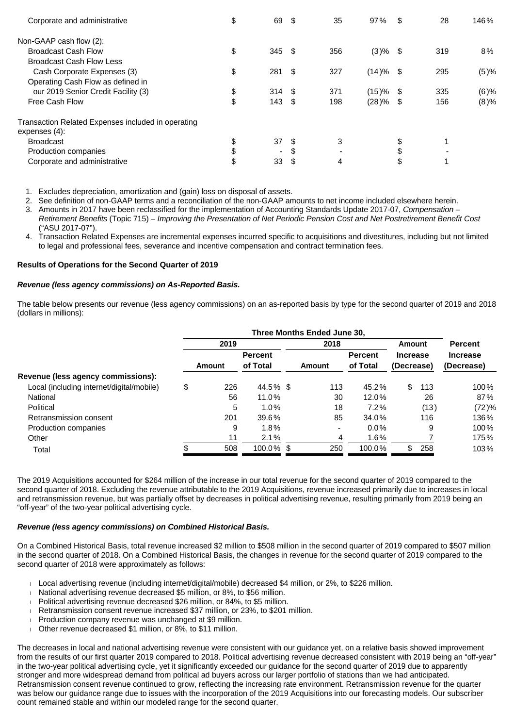| Corporate and administrative                                        | \$<br>69                 | -\$  | 35                       | 97%         | \$   | 28  | 146%    |
|---------------------------------------------------------------------|--------------------------|------|--------------------------|-------------|------|-----|---------|
| Non-GAAP cash flow (2):                                             |                          |      |                          |             |      |     |         |
| <b>Broadcast Cash Flow</b>                                          | \$<br>345S               |      | 356                      | $(3)$ % \$  |      | 319 | 8%      |
| <b>Broadcast Cash Flow Less</b>                                     |                          |      |                          |             |      |     |         |
| Cash Corporate Expenses (3)                                         | \$<br>281                | -\$  | 327                      | $(14)$ % \$ |      | 295 | (5)%    |
| Operating Cash Flow as defined in                                   |                          |      |                          |             |      |     |         |
| our 2019 Senior Credit Facility (3)                                 | \$<br>314S               |      | 371                      | (15)%       | - \$ | 335 | $(6)$ % |
| Free Cash Flow                                                      | \$<br>143                | - \$ | 198                      | $(28)\%$ \$ |      | 156 | (8)%    |
| Transaction Related Expenses included in operating<br>expenses (4): |                          |      |                          |             |      |     |         |
| <b>Broadcast</b>                                                    | 37                       | -S   | 3                        |             |      |     |         |
| Production companies                                                | $\overline{\phantom{0}}$ | S    | $\overline{\phantom{0}}$ |             | \$   |     |         |
| Corporate and administrative                                        | \$<br>33                 | \$   | 4                        |             | Φ    |     |         |

1. Excludes depreciation, amortization and (gain) loss on disposal of assets.

2. See definition of non-GAAP terms and a reconciliation of the non-GAAP amounts to net income included elsewhere herein.

- 3. Amounts in 2017 have been reclassified for the implementation of Accounting Standards Update 2017-07, Compensation Retirement Benefits (Topic 715) – Improving the Presentation of Net Periodic Pension Cost and Net Postretirement Benefit Cost ("ASU 2017-07").
- 4. Transaction Related Expenses are incremental expenses incurred specific to acquisitions and divestitures, including but not limited to legal and professional fees, severance and incentive compensation and contract termination fees.

#### **Results of Operations for the Second Quarter of 2019**

#### **Revenue (less agency commissions) on As-Reported Basis.**

The table below presents our revenue (less agency commissions) on an as-reported basis by type for the second quarter of 2019 and 2018 (dollars in millions):

|                                           |           |                | Three Months Ended June 30, |                |                 |      |                 |
|-------------------------------------------|-----------|----------------|-----------------------------|----------------|-----------------|------|-----------------|
|                                           | 2019      |                | 2018                        |                | Amount          |      | <b>Percent</b>  |
|                                           |           | <b>Percent</b> |                             | <b>Percent</b> | <b>Increase</b> |      | <b>Increase</b> |
|                                           | Amount    | of Total       | Amount                      | of Total       | (Decrease)      |      | (Decrease)      |
| Revenue (less agency commissions):        |           |                |                             |                |                 |      |                 |
| Local (including internet/digital/mobile) | \$<br>226 | 44.5% \$       | 113                         | 45.2%          | \$              | 113  | 100%            |
| National                                  | 56        | 11.0%          | 30                          | $12.0\%$       |                 | 26   | 87%             |
| Political                                 | 5         | $1.0\%$        | 18                          | 7.2%           |                 | (13) | (72)%           |
| Retransmission consent                    | 201       | 39.6%          | 85                          | 34.0%          |                 | 116  | 136%            |
| Production companies                      | 9         | $1.8\%$        | -                           | $0.0\%$        |                 | 9    | 100%            |
| Other                                     | 11        | 2.1%           | 4                           | $1.6\%$        |                 |      | 175%            |
| Total                                     | 508       | $100.0\%$ \$   | 250                         | 100.0%         | \$              | 258  | 103%            |

The 2019 Acquisitions accounted for \$264 million of the increase in our total revenue for the second quarter of 2019 compared to the second quarter of 2018. Excluding the revenue attributable to the 2019 Acquisitions, revenue increased primarily due to increases in local and retransmission revenue, but was partially offset by decreases in political advertising revenue, resulting primarily from 2019 being an "off-year" of the two-year political advertising cycle.

#### **Revenue (less agency commissions) on Combined Historical Basis.**

On a Combined Historical Basis, total revenue increased \$2 million to \$508 million in the second quarter of 2019 compared to \$507 million in the second quarter of 2018. On a Combined Historical Basis, the changes in revenue for the second quarter of 2019 compared to the second quarter of 2018 were approximately as follows:

- Local advertising revenue (including internet/digital/mobile) decreased \$4 million, or 2%, to \$226 million.
- National advertising revenue decreased \$5 million, or 8%, to \$56 million.
- Political advertising revenue decreased \$26 million, or 84%, to \$5 million.
- Retransmission consent revenue increased \$37 million, or 23%, to \$201 million.
- Production company revenue was unchanged at \$9 million.
- Other revenue decreased \$1 million, or 8%, to \$11 million.

The decreases in local and national advertising revenue were consistent with our guidance yet, on a relative basis showed improvement from the results of our first quarter 2019 compared to 2018. Political advertising revenue decreased consistent with 2019 being an "off-year" in the two-year political advertising cycle, yet it significantly exceeded our guidance for the second quarter of 2019 due to apparently stronger and more widespread demand from political ad buyers across our larger portfolio of stations than we had anticipated. Retransmission consent revenue continued to grow, reflecting the increasing rate environment. Retransmission revenue for the quarter was below our guidance range due to issues with the incorporation of the 2019 Acquisitions into our forecasting models. Our subscriber count remained stable and within our modeled range for the second quarter.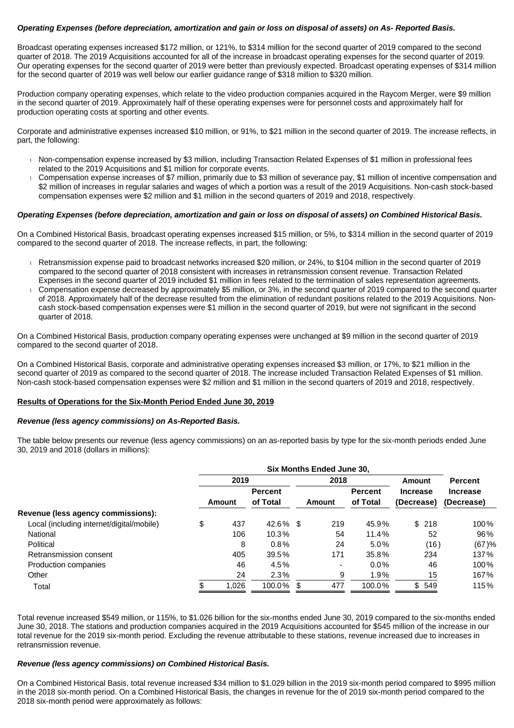#### **Operating Expenses (before depreciation, amortization and gain or loss on disposal of assets) on As- Reported Basis.**

Broadcast operating expenses increased \$172 million, or 121%, to \$314 million for the second quarter of 2019 compared to the second quarter of 2018. The 2019 Acquisitions accounted for all of the increase in broadcast operating expenses for the second quarter of 2019. Our operating expenses for the second quarter of 2019 were better than previously expected. Broadcast operating expenses of \$314 million for the second quarter of 2019 was well below our earlier guidance range of \$318 million to \$320 million.

Production company operating expenses, which relate to the video production companies acquired in the Raycom Merger, were \$9 million in the second quarter of 2019. Approximately half of these operating expenses were for personnel costs and approximately half for production operating costs at sporting and other events.

Corporate and administrative expenses increased \$10 million, or 91%, to \$21 million in the second quarter of 2019. The increase reflects, in part, the following:

- Non-compensation expense increased by \$3 million, including Transaction Related Expenses of \$1 million in professional fees related to the 2019 Acquisitions and \$1 million for corporate events.
- Compensation expense increases of \$7 million, primarily due to \$3 million of severance pay, \$1 million of incentive compensation and \$2 million of increases in regular salaries and wages of which a portion was a result of the 2019 Acquisitions. Non-cash stock-based compensation expenses were \$2 million and \$1 million in the second quarters of 2019 and 2018, respectively.

#### **Operating Expenses (before depreciation, amortization and gain or loss on disposal of assets) on Combined Historical Basis.**

On a Combined Historical Basis, broadcast operating expenses increased \$15 million, or 5%, to \$314 million in the second quarter of 2019 compared to the second quarter of 2018. The increase reflects, in part, the following:

- Retransmission expense paid to broadcast networks increased \$20 million, or 24%, to \$104 million in the second quarter of 2019 compared to the second quarter of 2018 consistent with increases in retransmission consent revenue. Transaction Related Expenses in the second quarter of 2019 included \$1 million in fees related to the termination of sales representation agreements.
- Compensation expense decreased by approximately \$5 million, or 3%, in the second quarter of 2019 compared to the second quarter of 2018. Approximately half of the decrease resulted from the elimination of redundant positions related to the 2019 Acquisitions. Noncash stock-based compensation expenses were \$1 million in the second quarter of 2019, but were not significant in the second quarter of 2018.

On a Combined Historical Basis, production company operating expenses were unchanged at \$9 million in the second quarter of 2019 compared to the second quarter of 2018.

On a Combined Historical Basis, corporate and administrative operating expenses increased \$3 million, or 17%, to \$21 million in the second quarter of 2019 as compared to the second quarter of 2018. The increase included Transaction Related Expenses of \$1 million. Non-cash stock-based compensation expenses were \$2 million and \$1 million in the second quarters of 2019 and 2018, respectively.

#### **Results of Operations for the Six-Month Period Ended June 30, 2019**

#### **Revenue (less agency commissions) on As-Reported Basis.**

The table below presents our revenue (less agency commissions) on an as-reported basis by type for the six-month periods ended June 30, 2019 and 2018 (dollars in millions):

|                                           |           |                | Six Months Ended June 30, |                |                 |                 |
|-------------------------------------------|-----------|----------------|---------------------------|----------------|-----------------|-----------------|
|                                           | 2019      |                | 2018                      |                | Amount          | <b>Percent</b>  |
|                                           |           | <b>Percent</b> |                           | <b>Percent</b> | <b>Increase</b> | <b>Increase</b> |
|                                           | Amount    | of Total       | Amount                    | of Total       | (Decrease)      | (Decrease)      |
| Revenue (less agency commissions):        |           |                |                           |                |                 |                 |
| Local (including internet/digital/mobile) | \$<br>437 | $42.6\%$ \$    | 219                       | 45.9%          | \$218           | 100%            |
| National                                  | 106       | 10.3%          | 54                        | 11.4%          | 52              | 96%             |
| Political                                 | 8         | $0.8\%$        | 24                        | $5.0\%$        | (16)            | (67)%           |
| Retransmission consent                    | 405       | 39.5%          | 171                       | 35.8%          | 234             | 137%            |
| Production companies                      | 46        | 4.5%           | -                         | $0.0\%$        | 46              | 100%            |
| Other                                     | 24        | 2.3%           | 9                         | 1.9%           | 15              | 167%            |
| Total                                     | 1,026     | 100.0%         | 477                       | 100.0%         | \$549           | 115%            |

Total revenue increased \$549 million, or 115%, to \$1.026 billion for the six-months ended June 30, 2019 compared to the six-months ended June 30, 2018. The stations and production companies acquired in the 2019 Acquisitions accounted for \$545 million of the increase in our total revenue for the 2019 six-month period. Excluding the revenue attributable to these stations, revenue increased due to increases in retransmission revenue.

#### **Revenue (less agency commissions) on Combined Historical Basis.**

On a Combined Historical Basis, total revenue increased \$34 million to \$1.029 billion in the 2019 six-month period compared to \$995 million in the 2018 six-month period. On a Combined Historical Basis, the changes in revenue for the of 2019 six-month period compared to the 2018 six-month period were approximately as follows: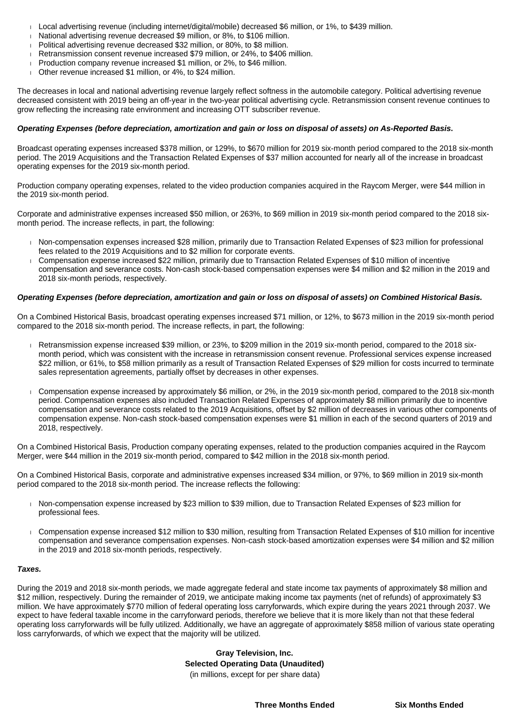- Local advertising revenue (including internet/digital/mobile) decreased \$6 million, or 1%, to \$439 million.
- National advertising revenue decreased \$9 million, or 8%, to \$106 million.
- Political advertising revenue decreased \$32 million, or 80%, to \$8 million.
- Retransmission consent revenue increased \$79 million, or 24%, to \$406 million.
- Production company revenue increased \$1 million, or 2%, to \$46 million.
- Other revenue increased \$1 million, or 4%, to \$24 million.

The decreases in local and national advertising revenue largely reflect softness in the automobile category. Political advertising revenue decreased consistent with 2019 being an off-year in the two-year political advertising cycle. Retransmission consent revenue continues to grow reflecting the increasing rate environment and increasing OTT subscriber revenue.

#### **Operating Expenses (before depreciation, amortization and gain or loss on disposal of assets) on As-Reported Basis.**

Broadcast operating expenses increased \$378 million, or 129%, to \$670 million for 2019 six-month period compared to the 2018 six-month period. The 2019 Acquisitions and the Transaction Related Expenses of \$37 million accounted for nearly all of the increase in broadcast operating expenses for the 2019 six-month period.

Production company operating expenses, related to the video production companies acquired in the Raycom Merger, were \$44 million in the 2019 six-month period.

Corporate and administrative expenses increased \$50 million, or 263%, to \$69 million in 2019 six-month period compared to the 2018 sixmonth period. The increase reflects, in part, the following:

- Non-compensation expenses increased \$28 million, primarily due to Transaction Related Expenses of \$23 million for professional fees related to the 2019 Acquisitions and to \$2 million for corporate events.
- Compensation expense increased \$22 million, primarily due to Transaction Related Expenses of \$10 million of incentive compensation and severance costs. Non-cash stock-based compensation expenses were \$4 million and \$2 million in the 2019 and 2018 six-month periods, respectively.

#### **Operating Expenses (before depreciation, amortization and gain or loss on disposal of assets) on Combined Historical Basis.**

On a Combined Historical Basis, broadcast operating expenses increased \$71 million, or 12%, to \$673 million in the 2019 six-month period compared to the 2018 six-month period. The increase reflects, in part, the following:

- Retransmission expense increased \$39 million, or 23%, to \$209 million in the 2019 six-month period, compared to the 2018 sixmonth period, which was consistent with the increase in retransmission consent revenue. Professional services expense increased \$22 million, or 61%, to \$58 million primarily as a result of Transaction Related Expenses of \$29 million for costs incurred to terminate sales representation agreements, partially offset by decreases in other expenses.
- Compensation expense increased by approximately \$6 million, or 2%, in the 2019 six-month period, compared to the 2018 six-month period. Compensation expenses also included Transaction Related Expenses of approximately \$8 million primarily due to incentive compensation and severance costs related to the 2019 Acquisitions, offset by \$2 million of decreases in various other components of compensation expense. Non-cash stock-based compensation expenses were \$1 million in each of the second quarters of 2019 and 2018, respectively.

On a Combined Historical Basis, Production company operating expenses, related to the production companies acquired in the Raycom Merger, were \$44 million in the 2019 six-month period, compared to \$42 million in the 2018 six-month period.

On a Combined Historical Basis, corporate and administrative expenses increased \$34 million, or 97%, to \$69 million in 2019 six-month period compared to the 2018 six-month period. The increase reflects the following:

- Non-compensation expense increased by \$23 million to \$39 million, due to Transaction Related Expenses of \$23 million for professional fees.
- Compensation expense increased \$12 million to \$30 million, resulting from Transaction Related Expenses of \$10 million for incentive compensation and severance compensation expenses. Non-cash stock-based amortization expenses were \$4 million and \$2 million in the 2019 and 2018 six-month periods, respectively.

#### **Taxes.**

During the 2019 and 2018 six-month periods, we made aggregate federal and state income tax payments of approximately \$8 million and \$12 million, respectively. During the remainder of 2019, we anticipate making income tax payments (net of refunds) of approximately \$3 million. We have approximately \$770 million of federal operating loss carryforwards, which expire during the years 2021 through 2037. We expect to have federal taxable income in the carryforward periods, therefore we believe that it is more likely than not that these federal operating loss carryforwards will be fully utilized. Additionally, we have an aggregate of approximately \$858 million of various state operating loss carryforwards, of which we expect that the majority will be utilized.

> **Gray Television, Inc. Selected Operating Data (Unaudited)** (in millions, except for per share data)

> > **Three Months Ended Six Months Ended**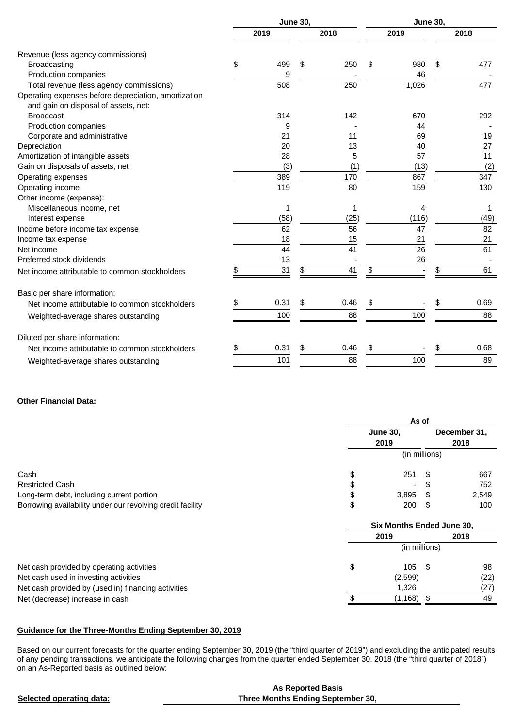|                                                      | <b>June 30,</b> |      |    |      | <b>June 30,</b> |       |            |  |
|------------------------------------------------------|-----------------|------|----|------|-----------------|-------|------------|--|
|                                                      |                 | 2019 |    | 2018 |                 | 2019  | 2018       |  |
| Revenue (less agency commissions)                    |                 |      |    |      |                 |       |            |  |
| <b>Broadcasting</b>                                  | \$              | 499  | \$ | 250  | \$              | 980   | \$<br>477  |  |
| Production companies                                 |                 | 9    |    |      |                 | 46    |            |  |
| Total revenue (less agency commissions)              |                 | 508  |    | 250  |                 | 1,026 | 477        |  |
| Operating expenses before depreciation, amortization |                 |      |    |      |                 |       |            |  |
| and gain on disposal of assets, net:                 |                 |      |    |      |                 |       |            |  |
| <b>Broadcast</b>                                     |                 | 314  |    | 142  |                 | 670   | 292        |  |
| Production companies                                 |                 | 9    |    |      |                 | 44    |            |  |
| Corporate and administrative                         |                 | 21   |    | 11   |                 | 69    | 19         |  |
| Depreciation                                         |                 | 20   |    | 13   |                 | 40    | 27         |  |
| Amortization of intangible assets                    |                 | 28   |    | 5    |                 | 57    | 11         |  |
| Gain on disposals of assets, net                     |                 | (3)  |    | (1)  |                 | (13)  | (2)        |  |
| Operating expenses                                   |                 | 389  |    | 170  |                 | 867   | 347        |  |
| Operating income                                     |                 | 119  |    | 80   |                 | 159   | 130        |  |
| Other income (expense):                              |                 |      |    |      |                 |       |            |  |
| Miscellaneous income, net                            |                 | 1    |    | 1    |                 | 4     | 1          |  |
| Interest expense                                     |                 | (58) |    | (25) |                 | (116) | (49)       |  |
| Income before income tax expense                     |                 | 62   |    | 56   |                 | 47    | 82         |  |
| Income tax expense                                   |                 | 18   |    | 15   |                 | 21    | 21         |  |
| Net income                                           |                 | 44   |    | 41   |                 | 26    | 61         |  |
| Preferred stock dividends                            |                 | 13   |    |      |                 | 26    |            |  |
| Net income attributable to common stockholders       | \$              | 31   | \$ | 41   | \$              |       | \$<br>61   |  |
| Basic per share information:                         |                 |      |    |      |                 |       |            |  |
| Net income attributable to common stockholders       | \$              | 0.31 | \$ | 0.46 | \$              |       | \$<br>0.69 |  |
| Weighted-average shares outstanding                  |                 | 100  |    | 88   |                 | 100   | 88         |  |
| Diluted per share information:                       |                 |      |    |      |                 |       |            |  |
| Net income attributable to common stockholders       | S               | 0.31 | \$ | 0.46 | S               |       | \$<br>0.68 |  |
|                                                      |                 |      |    | 88   |                 |       | 89         |  |
| Weighted-average shares outstanding                  |                 | 101  |    |      |                 | 100   |            |  |

# **Other Financial Data:**

|                                                            | As of                     |      |              |
|------------------------------------------------------------|---------------------------|------|--------------|
|                                                            | <b>June 30,</b>           |      | December 31, |
|                                                            | 2019                      |      | 2018         |
|                                                            | (in millions)             |      |              |
| Cash                                                       | \$<br>251                 |      | 667          |
| <b>Restricted Cash</b>                                     |                           |      | 752          |
| Long-term debt, including current portion                  | \$<br>3,895               |      | 2,549        |
| Borrowing availability under our revolving credit facility | \$<br>200                 | - \$ | 100          |
|                                                            | Six Months Ended June 30, |      |              |
|                                                            | 2019                      |      | 2018         |
|                                                            | (in millions)             |      |              |
| Net cash provided by operating activities                  | \$<br>105                 | - \$ | 98           |
| Net cash used in investing activities                      | (2,599)                   |      | (22)         |
| Net cash provided by (used in) financing activities        | 1,326                     |      | (27)         |
| Net (decrease) increase in cash                            | \$<br>(1, 168)            | - \$ | 49           |

# **Guidance for the Three-Months Ending September 30, 2019**

Based on our current forecasts for the quarter ending September 30, 2019 (the "third quarter of 2019") and excluding the anticipated results of any pending transactions, we anticipate the following changes from the quarter ended September 30, 2018 (the "third quarter of 2018") on an As-Reported basis as outlined below:

|                          | <b>As Reported Basis</b>          |
|--------------------------|-----------------------------------|
| Selected operating data: | Three Months Ending September 30, |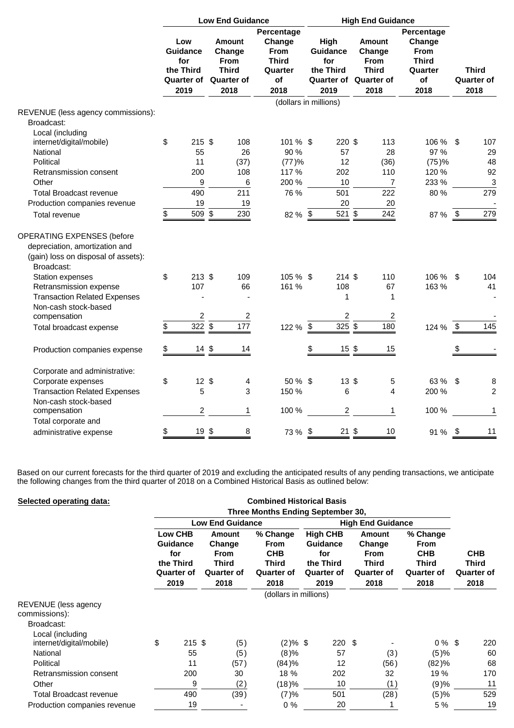|                                                                                                                                                                        |                  |                                                     | <b>Low End Guidance</b>                                                      |                                                                              | <b>High End Guidance</b> |                                                                                     |  |                                                                |                                                                              |            |                                           |
|------------------------------------------------------------------------------------------------------------------------------------------------------------------------|------------------|-----------------------------------------------------|------------------------------------------------------------------------------|------------------------------------------------------------------------------|--------------------------|-------------------------------------------------------------------------------------|--|----------------------------------------------------------------|------------------------------------------------------------------------------|------------|-------------------------------------------|
|                                                                                                                                                                        | Low<br>the Third | <b>Guidance</b><br>for<br><b>Quarter of</b><br>2019 | Amount<br>Change<br><b>From</b><br><b>Third</b><br><b>Quarter of</b><br>2018 | Percentage<br>Change<br><b>From</b><br><b>Third</b><br>Quarter<br>of<br>2018 |                          | High<br><b>Guidance</b><br>for<br>the Third<br><b>Quarter of Quarter of</b><br>2019 |  | <b>Amount</b><br>Change<br><b>From</b><br><b>Third</b><br>2018 | Percentage<br>Change<br><b>From</b><br><b>Third</b><br>Quarter<br>of<br>2018 |            | <b>Third</b><br><b>Quarter of</b><br>2018 |
|                                                                                                                                                                        |                  |                                                     |                                                                              | (dollars in millions)                                                        |                          |                                                                                     |  |                                                                |                                                                              |            |                                           |
| REVENUE (less agency commissions):<br>Broadcast:                                                                                                                       |                  |                                                     |                                                                              |                                                                              |                          |                                                                                     |  |                                                                |                                                                              |            |                                           |
| Local (including                                                                                                                                                       |                  |                                                     |                                                                              |                                                                              |                          |                                                                                     |  |                                                                |                                                                              |            |                                           |
| internet/digital/mobile)                                                                                                                                               | \$               | $215$ \$                                            | 108                                                                          | 101 % \$                                                                     |                          | 220 \$                                                                              |  | 113                                                            | 106 %                                                                        | \$         | 107                                       |
| National                                                                                                                                                               |                  | 55                                                  | 26                                                                           | 90 %                                                                         |                          | 57                                                                                  |  | 28                                                             | 97 %                                                                         |            | 29                                        |
| Political                                                                                                                                                              |                  | 11                                                  | (37)                                                                         | (77)%                                                                        |                          | 12                                                                                  |  | (36)                                                           | (75)%                                                                        |            | 48                                        |
| Retransmission consent                                                                                                                                                 |                  | 200                                                 | 108                                                                          | 117 %                                                                        |                          | 202                                                                                 |  | 110                                                            | 120 %                                                                        |            | 92                                        |
| Other                                                                                                                                                                  |                  | 9                                                   | 6                                                                            | 200 %                                                                        |                          | 10                                                                                  |  | 7                                                              | 233 %                                                                        |            | 3                                         |
| <b>Total Broadcast revenue</b>                                                                                                                                         |                  | 490                                                 | 211                                                                          | 76 %                                                                         |                          | 501                                                                                 |  | 222                                                            | 80%                                                                          |            | 279                                       |
| Production companies revenue                                                                                                                                           |                  | 19                                                  | 19                                                                           |                                                                              |                          | 20                                                                                  |  | 20                                                             |                                                                              |            |                                           |
| Total revenue                                                                                                                                                          | \$               | 509 \$                                              | 230                                                                          | 82 % \$                                                                      |                          | 521 \$                                                                              |  | 242                                                            | 87 %                                                                         | - \$       | 279                                       |
| <b>OPERATING EXPENSES (before</b><br>depreciation, amortization and<br>(gain) loss on disposal of assets):<br>Broadcast:<br>Station expenses<br>Retransmission expense | \$               | $213$ \$<br>107                                     | 109<br>66                                                                    | 105 % \$<br>161 %                                                            |                          | 214 S<br>108                                                                        |  | 110<br>67                                                      | 106 %<br>163%                                                                | \$         | 104<br>41                                 |
| <b>Transaction Related Expenses</b>                                                                                                                                    |                  |                                                     |                                                                              |                                                                              |                          | $\mathbf{1}$                                                                        |  | $\mathbf 1$                                                    |                                                                              |            |                                           |
| Non-cash stock-based                                                                                                                                                   |                  |                                                     |                                                                              |                                                                              |                          |                                                                                     |  |                                                                |                                                                              |            |                                           |
| compensation                                                                                                                                                           |                  | $\overline{c}$                                      | $\overline{c}$                                                               |                                                                              |                          | $\overline{c}$                                                                      |  | 2                                                              |                                                                              |            |                                           |
| Total broadcast expense                                                                                                                                                | \$               | 322 \$                                              | 177                                                                          | 122 % \$                                                                     |                          | 325 \$                                                                              |  | 180                                                            | 124 %                                                                        | $\sqrt{3}$ | 145                                       |
|                                                                                                                                                                        |                  |                                                     |                                                                              |                                                                              |                          |                                                                                     |  |                                                                |                                                                              |            |                                           |
| Production companies expense                                                                                                                                           | \$               | $14 \text{ } $$                                     | 14                                                                           |                                                                              | \$                       | 15 <sup>°</sup>                                                                     |  | 15                                                             |                                                                              | \$         |                                           |
| Corporate and administrative:                                                                                                                                          |                  |                                                     |                                                                              |                                                                              |                          |                                                                                     |  |                                                                |                                                                              |            |                                           |
| Corporate expenses                                                                                                                                                     | \$               | $12 \text{ } $$                                     | 4                                                                            | $50\%$ \$                                                                    |                          | $13 \;$ \$                                                                          |  | 5                                                              | 63 %                                                                         | $\sqrt{2}$ | 8                                         |
| <b>Transaction Related Expenses</b>                                                                                                                                    |                  | 5                                                   | 3                                                                            | 150 %                                                                        |                          | 6                                                                                   |  | 4                                                              | 200 %                                                                        |            | $\overline{2}$                            |
| Non-cash stock-based                                                                                                                                                   |                  |                                                     |                                                                              |                                                                              |                          |                                                                                     |  |                                                                |                                                                              |            |                                           |
| compensation                                                                                                                                                           |                  | $\overline{c}$                                      | 1                                                                            | 100 %                                                                        |                          | $\overline{c}$                                                                      |  | $\mathbf{1}$                                                   | 100 %                                                                        |            | 1                                         |
| Total corporate and                                                                                                                                                    |                  |                                                     |                                                                              |                                                                              |                          |                                                                                     |  |                                                                |                                                                              |            |                                           |
| administrative expense                                                                                                                                                 | \$               | 19 \$                                               | 8                                                                            | 73 % \$                                                                      |                          | $21$ \$                                                                             |  | 10                                                             | 91 %                                                                         | \$         | 11                                        |

Based on our current forecasts for the third quarter of 2019 and excluding the anticipated results of any pending transactions, we anticipate the following changes from the third quarter of 2018 on a Combined Historical Basis as outlined below:

| Selected operating data:                            |                                   |                                                                                    |                                                                       | <b>Combined Historical Basis</b>                                                   |                                                                                     |      |                                                                       |                                                                             |                                                  |  |  |
|-----------------------------------------------------|-----------------------------------|------------------------------------------------------------------------------------|-----------------------------------------------------------------------|------------------------------------------------------------------------------------|-------------------------------------------------------------------------------------|------|-----------------------------------------------------------------------|-----------------------------------------------------------------------------|--------------------------------------------------|--|--|
|                                                     | Three Months Ending September 30, |                                                                                    |                                                                       |                                                                                    |                                                                                     |      |                                                                       |                                                                             |                                                  |  |  |
|                                                     |                                   | <b>Low End Guidance</b>                                                            |                                                                       | <b>High End Guidance</b>                                                           |                                                                                     |      |                                                                       |                                                                             |                                                  |  |  |
|                                                     |                                   | <b>Low CHB</b><br><b>Guidance</b><br>for<br>the Third<br><b>Quarter of</b><br>2019 | Amount<br>Change<br><b>From</b><br><b>Third</b><br>Quarter of<br>2018 | % Change<br><b>From</b><br><b>CHB</b><br><b>Third</b><br><b>Quarter of</b><br>2018 | <b>High CHB</b><br><b>Guidance</b><br>for<br>the Third<br><b>Quarter of</b><br>2019 |      | Amount<br>Change<br><b>From</b><br>Third<br><b>Quarter of</b><br>2018 | % Change<br><b>From</b><br><b>CHB</b><br><b>Third</b><br>Quarter of<br>2018 | <b>CHB</b><br>Third<br><b>Quarter of</b><br>2018 |  |  |
|                                                     |                                   |                                                                                    |                                                                       | (dollars in millions)                                                              |                                                                                     |      |                                                                       |                                                                             |                                                  |  |  |
| REVENUE (less agency<br>commissions):<br>Broadcast: |                                   |                                                                                    |                                                                       |                                                                                    |                                                                                     |      |                                                                       |                                                                             |                                                  |  |  |
| Local (including                                    |                                   |                                                                                    |                                                                       |                                                                                    |                                                                                     |      |                                                                       |                                                                             |                                                  |  |  |
| internet/digital/mobile)                            | \$                                | $215$ \$                                                                           | (5)                                                                   | $(2)\%$ \$                                                                         |                                                                                     | 220S |                                                                       | $0\%$ \$                                                                    | 220                                              |  |  |
| National                                            |                                   | 55                                                                                 | (5)                                                                   | (8)%                                                                               | 57                                                                                  |      | (3)                                                                   | (5)%                                                                        | 60                                               |  |  |
| Political                                           |                                   | 11                                                                                 | (57)                                                                  | (84)%                                                                              |                                                                                     | 12   | (56)                                                                  | (82)%                                                                       | 68                                               |  |  |
| Retransmission consent                              |                                   | 200                                                                                | 30                                                                    | 18 %                                                                               | 202                                                                                 |      | 32                                                                    | 19 %                                                                        | 170                                              |  |  |
| Other                                               |                                   | 9                                                                                  | (2)                                                                   | (18)%                                                                              | 10                                                                                  |      | (1)                                                                   | (9)%                                                                        | 11                                               |  |  |
| <b>Total Broadcast revenue</b>                      |                                   | 490                                                                                | (39)                                                                  | (7)%                                                                               | 501                                                                                 |      | (28)                                                                  | (5)%                                                                        | 529                                              |  |  |
| Production companies revenue                        |                                   | 19                                                                                 |                                                                       | $0\%$                                                                              | 20                                                                                  |      |                                                                       | 5 %                                                                         | 19                                               |  |  |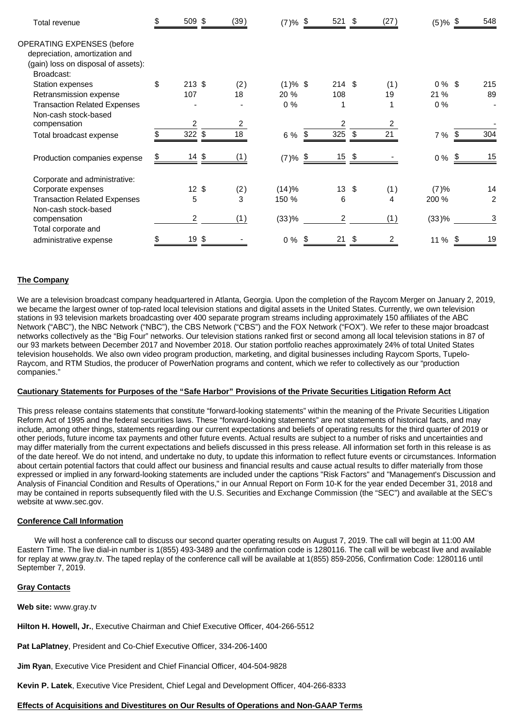| Total revenue                       | \$<br>509 \$     | (39) | $(7)$ % <u>\$</u>        | 521 \$          | (27) | $(5)\%$ \$ | 548            |
|-------------------------------------|------------------|------|--------------------------|-----------------|------|------------|----------------|
| <b>OPERATING EXPENSES (before</b>   |                  |      |                          |                 |      |            |                |
| depreciation, amortization and      |                  |      |                          |                 |      |            |                |
| (gain) loss on disposal of assets): |                  |      |                          |                 |      |            |                |
| Broadcast:                          |                  |      |                          |                 |      |            |                |
| <b>Station expenses</b>             | \$<br>$213$ \$   | (2)  | $(1)$ % \$               | 214S            | (1)  | $0\%$ \$   | 215            |
| Retransmission expense              | 107              | 18   | 20 %                     | 108             | 19   | 21 %       | 89             |
| <b>Transaction Related Expenses</b> |                  |      | $0\%$                    | 1               | 1    | 0%         |                |
| Non-cash stock-based                |                  |      |                          |                 |      |            |                |
| compensation                        | $\mathfrak{p}$   | 2    |                          | 2               |      |            |                |
| Total broadcast expense             | $322$ \$         | 18   | 6 %                      | 325 $$$         | 21   | 7 %        | 304            |
| Production companies expense        | $14 \text{ } $$  |      | $(7)$ % $\underline{\$}$ | $15 \t$$        |      | $0\%$ \$   | 15             |
| Corporate and administrative:       |                  |      |                          |                 |      |            |                |
| Corporate expenses                  | $12 \text{ }$ \$ | (2)  | (14)%                    | $13 \text{ } $$ | (1)  | (7)%       | 14             |
| <b>Transaction Related Expenses</b> | 5                | 3    | 150 %                    | 6               | 4    | 200 %      | $\overline{2}$ |
| Non-cash stock-based                |                  |      |                          |                 |      |            |                |
| compensation                        | $\overline{2}$   | (1)  | (33)%                    | 2               | (1)  | (33)%      | 3              |
| Total corporate and                 |                  |      |                          |                 |      |            |                |
| administrative expense              | 19               | \$   | $0\%$                    | 21              | \$   | 11 %       | 19             |

#### **The Company**

We are a television broadcast company headquartered in Atlanta, Georgia. Upon the completion of the Raycom Merger on January 2, 2019, we became the largest owner of top-rated local television stations and digital assets in the United States. Currently, we own television stations in 93 television markets broadcasting over 400 separate program streams including approximately 150 affiliates of the ABC Network ("ABC"), the NBC Network ("NBC"), the CBS Network ("CBS") and the FOX Network ("FOX"). We refer to these major broadcast networks collectively as the "Big Four" networks. Our television stations ranked first or second among all local television stations in 87 of our 93 markets between December 2017 and November 2018. Our station portfolio reaches approximately 24% of total United States television households. We also own video program production, marketing, and digital businesses including Raycom Sports, Tupelo-Raycom, and RTM Studios, the producer of PowerNation programs and content, which we refer to collectively as our "production companies."

#### **Cautionary Statements for Purposes of the "Safe Harbor" Provisions of the Private Securities Litigation Reform Act**

This press release contains statements that constitute "forward-looking statements" within the meaning of the Private Securities Litigation Reform Act of 1995 and the federal securities laws. These "forward-looking statements" are not statements of historical facts, and may include, among other things, statements regarding our current expectations and beliefs of operating results for the third quarter of 2019 or other periods, future income tax payments and other future events. Actual results are subject to a number of risks and uncertainties and may differ materially from the current expectations and beliefs discussed in this press release. All information set forth in this release is as of the date hereof. We do not intend, and undertake no duty, to update this information to reflect future events or circumstances. Information about certain potential factors that could affect our business and financial results and cause actual results to differ materially from those expressed or implied in any forward-looking statements are included under the captions "Risk Factors" and "Management's Discussion and Analysis of Financial Condition and Results of Operations," in our Annual Report on Form 10-K for the year ended December 31, 2018 and may be contained in reports subsequently filed with the U.S. Securities and Exchange Commission (the "SEC") and available at the SEC's website at www.sec.gov.

#### **Conference Call Information**

 We will host a conference call to discuss our second quarter operating results on August 7, 2019. The call will begin at 11:00 AM Eastern Time. The live dial-in number is 1(855) 493-3489 and the confirmation code is 1280116. The call will be webcast live and available for replay at www.gray.tv. The taped replay of the conference call will be available at 1(855) 859-2056, Confirmation Code: 1280116 until September 7, 2019.

#### **Gray Contacts**

**Web site:** www.gray.tv

**Hilton H. Howell, Jr.**, Executive Chairman and Chief Executive Officer, 404-266-5512

**Pat LaPlatney**, President and Co-Chief Executive Officer, 334-206-1400

**Jim Ryan**, Executive Vice President and Chief Financial Officer, 404-504-9828

**Kevin P. Latek**, Executive Vice President, Chief Legal and Development Officer, 404-266-8333

#### **Effects of Acquisitions and Divestitures on Our Results of Operations and Non-GAAP Terms**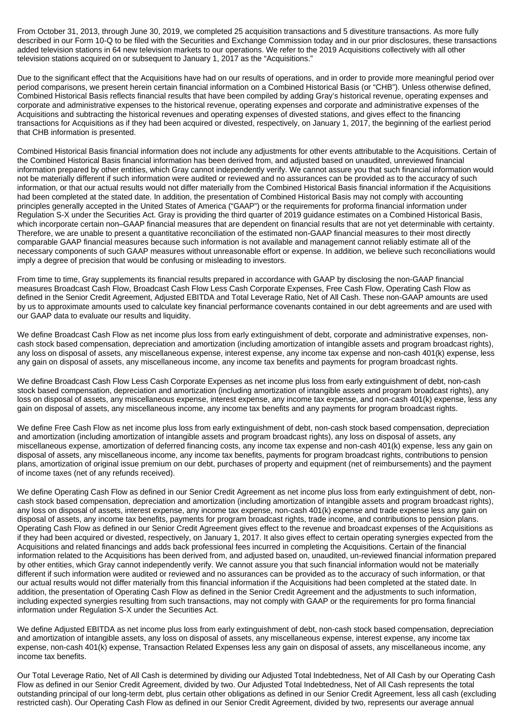From October 31, 2013, through June 30, 2019, we completed 25 acquisition transactions and 5 divestiture transactions. As more fully described in our Form 10-Q to be filed with the Securities and Exchange Commission today and in our prior disclosures, these transactions added television stations in 64 new television markets to our operations. We refer to the 2019 Acquisitions collectively with all other television stations acquired on or subsequent to January 1, 2017 as the "Acquisitions."

Due to the significant effect that the Acquisitions have had on our results of operations, and in order to provide more meaningful period over period comparisons, we present herein certain financial information on a Combined Historical Basis (or "CHB"). Unless otherwise defined, Combined Historical Basis reflects financial results that have been compiled by adding Gray's historical revenue, operating expenses and corporate and administrative expenses to the historical revenue, operating expenses and corporate and administrative expenses of the Acquisitions and subtracting the historical revenues and operating expenses of divested stations, and gives effect to the financing transactions for Acquisitions as if they had been acquired or divested, respectively, on January 1, 2017, the beginning of the earliest period that CHB information is presented.

Combined Historical Basis financial information does not include any adjustments for other events attributable to the Acquisitions. Certain of the Combined Historical Basis financial information has been derived from, and adjusted based on unaudited, unreviewed financial information prepared by other entities, which Gray cannot independently verify. We cannot assure you that such financial information would not be materially different if such information were audited or reviewed and no assurances can be provided as to the accuracy of such information, or that our actual results would not differ materially from the Combined Historical Basis financial information if the Acquisitions had been completed at the stated date. In addition, the presentation of Combined Historical Basis may not comply with accounting principles generally accepted in the United States of America ("GAAP") or the requirements for proforma financial information under Regulation S-X under the Securities Act. Gray is providing the third quarter of 2019 guidance estimates on a Combined Historical Basis, which incorporate certain non–GAAP financial measures that are dependent on financial results that are not yet determinable with certainty. Therefore, we are unable to present a quantitative reconciliation of the estimated non-GAAP financial measures to their most directly comparable GAAP financial measures because such information is not available and management cannot reliably estimate all of the necessary components of such GAAP measures without unreasonable effort or expense. In addition, we believe such reconciliations would imply a degree of precision that would be confusing or misleading to investors.

From time to time, Gray supplements its financial results prepared in accordance with GAAP by disclosing the non-GAAP financial measures Broadcast Cash Flow, Broadcast Cash Flow Less Cash Corporate Expenses, Free Cash Flow, Operating Cash Flow as defined in the Senior Credit Agreement, Adjusted EBITDA and Total Leverage Ratio, Net of All Cash. These non-GAAP amounts are used by us to approximate amounts used to calculate key financial performance covenants contained in our debt agreements and are used with our GAAP data to evaluate our results and liquidity.

We define Broadcast Cash Flow as net income plus loss from early extinguishment of debt, corporate and administrative expenses, noncash stock based compensation, depreciation and amortization (including amortization of intangible assets and program broadcast rights), any loss on disposal of assets, any miscellaneous expense, interest expense, any income tax expense and non-cash 401(k) expense, less any gain on disposal of assets, any miscellaneous income, any income tax benefits and payments for program broadcast rights.

We define Broadcast Cash Flow Less Cash Corporate Expenses as net income plus loss from early extinguishment of debt, non-cash stock based compensation, depreciation and amortization (including amortization of intangible assets and program broadcast rights), any loss on disposal of assets, any miscellaneous expense, interest expense, any income tax expense, and non-cash 401(k) expense, less any gain on disposal of assets, any miscellaneous income, any income tax benefits and any payments for program broadcast rights.

We define Free Cash Flow as net income plus loss from early extinguishment of debt, non-cash stock based compensation, depreciation and amortization (including amortization of intangible assets and program broadcast rights), any loss on disposal of assets, any miscellaneous expense, amortization of deferred financing costs, any income tax expense and non-cash 401(k) expense, less any gain on disposal of assets, any miscellaneous income, any income tax benefits, payments for program broadcast rights, contributions to pension plans, amortization of original issue premium on our debt, purchases of property and equipment (net of reimbursements) and the payment of income taxes (net of any refunds received).

We define Operating Cash Flow as defined in our Senior Credit Agreement as net income plus loss from early extinguishment of debt, noncash stock based compensation, depreciation and amortization (including amortization of intangible assets and program broadcast rights), any loss on disposal of assets, interest expense, any income tax expense, non-cash 401(k) expense and trade expense less any gain on disposal of assets, any income tax benefits, payments for program broadcast rights, trade income, and contributions to pension plans. Operating Cash Flow as defined in our Senior Credit Agreement gives effect to the revenue and broadcast expenses of the Acquisitions as if they had been acquired or divested, respectively, on January 1, 2017. It also gives effect to certain operating synergies expected from the Acquisitions and related financings and adds back professional fees incurred in completing the Acquisitions. Certain of the financial information related to the Acquisitions has been derived from, and adjusted based on, unaudited, un-reviewed financial information prepared by other entities, which Gray cannot independently verify. We cannot assure you that such financial information would not be materially different if such information were audited or reviewed and no assurances can be provided as to the accuracy of such information, or that our actual results would not differ materially from this financial information if the Acquisitions had been completed at the stated date. In addition, the presentation of Operating Cash Flow as defined in the Senior Credit Agreement and the adjustments to such information, including expected synergies resulting from such transactions, may not comply with GAAP or the requirements for pro forma financial information under Regulation S-X under the Securities Act.

We define Adjusted EBITDA as net income plus loss from early extinguishment of debt, non-cash stock based compensation, depreciation and amortization of intangible assets, any loss on disposal of assets, any miscellaneous expense, interest expense, any income tax expense, non-cash 401(k) expense, Transaction Related Expenses less any gain on disposal of assets, any miscellaneous income, any income tax benefits.

Our Total Leverage Ratio, Net of All Cash is determined by dividing our Adjusted Total Indebtedness, Net of All Cash by our Operating Cash Flow as defined in our Senior Credit Agreement, divided by two. Our Adjusted Total Indebtedness, Net of All Cash represents the total outstanding principal of our long-term debt, plus certain other obligations as defined in our Senior Credit Agreement, less all cash (excluding restricted cash). Our Operating Cash Flow as defined in our Senior Credit Agreement, divided by two, represents our average annual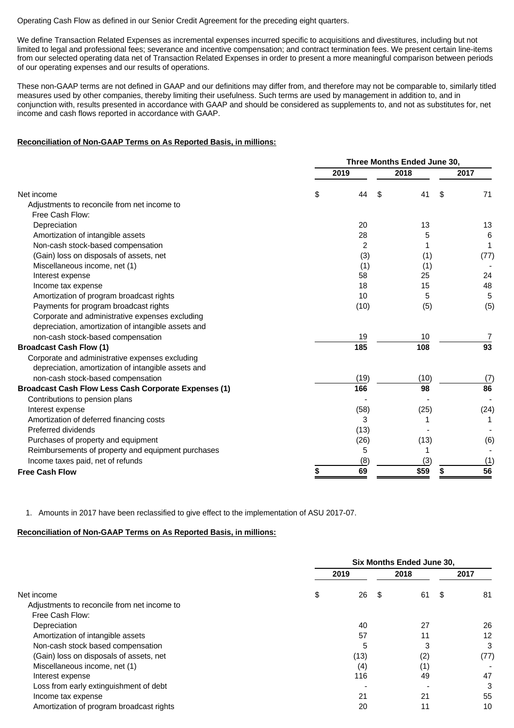Operating Cash Flow as defined in our Senior Credit Agreement for the preceding eight quarters.

We define Transaction Related Expenses as incremental expenses incurred specific to acquisitions and divestitures, including but not limited to legal and professional fees; severance and incentive compensation; and contract termination fees. We present certain line-items from our selected operating data net of Transaction Related Expenses in order to present a more meaningful comparison between periods of our operating expenses and our results of operations.

These non-GAAP terms are not defined in GAAP and our definitions may differ from, and therefore may not be comparable to, similarly titled measures used by other companies, thereby limiting their usefulness. Such terms are used by management in addition to, and in conjunction with, results presented in accordance with GAAP and should be considered as supplements to, and not as substitutes for, net income and cash flows reported in accordance with GAAP.

#### **Reconciliation of Non-GAAP Terms on As Reported Basis, in millions:**

|                                                             | Three Months Ended June 30, |                |      |      |    |      |  |
|-------------------------------------------------------------|-----------------------------|----------------|------|------|----|------|--|
|                                                             | 2019                        |                | 2018 | 2017 |    |      |  |
| Net income                                                  | \$                          | 44             | S    | 41   | \$ | 71   |  |
| Adjustments to reconcile from net income to                 |                             |                |      |      |    |      |  |
| Free Cash Flow:                                             |                             |                |      |      |    |      |  |
| Depreciation                                                |                             | 20             |      | 13   |    | 13   |  |
| Amortization of intangible assets                           |                             | 28             |      | 5    |    | 6    |  |
| Non-cash stock-based compensation                           |                             | $\overline{2}$ |      |      |    |      |  |
| (Gain) loss on disposals of assets, net                     |                             | (3)            |      | (1)  |    | (77) |  |
| Miscellaneous income, net (1)                               |                             | (1)            |      | (1)  |    |      |  |
| Interest expense                                            |                             | 58             |      | 25   |    | 24   |  |
| Income tax expense                                          |                             | 18             |      | 15   |    | 48   |  |
| Amortization of program broadcast rights                    |                             | 10             |      | 5    |    | 5    |  |
| Payments for program broadcast rights                       |                             | (10)           |      | (5)  |    | (5)  |  |
| Corporate and administrative expenses excluding             |                             |                |      |      |    |      |  |
| depreciation, amortization of intangible assets and         |                             |                |      |      |    |      |  |
| non-cash stock-based compensation                           |                             | 19             |      | 10   |    | 7    |  |
| <b>Broadcast Cash Flow (1)</b>                              |                             | 185            |      | 108  |    | 93   |  |
| Corporate and administrative expenses excluding             |                             |                |      |      |    |      |  |
| depreciation, amortization of intangible assets and         |                             |                |      |      |    |      |  |
| non-cash stock-based compensation                           |                             | (19)           |      | (10) |    | (7)  |  |
| <b>Broadcast Cash Flow Less Cash Corporate Expenses (1)</b> |                             | 166            |      | 98   |    | 86   |  |
| Contributions to pension plans                              |                             |                |      |      |    |      |  |
| Interest expense                                            |                             | (58)           |      | (25) |    | (24) |  |
| Amortization of deferred financing costs                    |                             | 3              |      |      |    |      |  |
| Preferred dividends                                         |                             | (13)           |      |      |    |      |  |
| Purchases of property and equipment                         |                             | (26)           |      | (13) |    | (6)  |  |
| Reimbursements of property and equipment purchases          |                             | 5              |      | 1    |    |      |  |
| Income taxes paid, net of refunds                           |                             | (8)            |      | (3)  |    | (1)  |  |
| <b>Free Cash Flow</b>                                       | \$                          | 69             |      | \$59 |    | 56   |  |
|                                                             |                             |                |      |      |    |      |  |

1. Amounts in 2017 have been reclassified to give effect to the implementation of ASU 2017-07.

#### **Reconciliation of Non-GAAP Terms on As Reported Basis, in millions:**

|                                             | <b>Six Months Ended June 30,</b> |      |    |      |      |      |
|---------------------------------------------|----------------------------------|------|----|------|------|------|
|                                             |                                  | 2019 |    | 2018 |      | 2017 |
| Net income                                  | \$                               | 26   | -S | 61   | - \$ | 81   |
| Adjustments to reconcile from net income to |                                  |      |    |      |      |      |
| Free Cash Flow:                             |                                  |      |    |      |      |      |
| Depreciation                                |                                  | 40   |    | 27   |      | 26   |
| Amortization of intangible assets           |                                  | 57   |    | 11   |      | 12   |
| Non-cash stock based compensation           |                                  | 5    |    | 3    |      | 3    |
| (Gain) loss on disposals of assets, net     |                                  | (13) |    | (2)  |      | (77) |
| Miscellaneous income, net (1)               |                                  | (4)  |    | (1)  |      |      |
| Interest expense                            |                                  | 116  |    | 49   |      | 47   |
| Loss from early extinguishment of debt      |                                  |      |    |      |      | 3    |
| Income tax expense                          |                                  | 21   |    | 21   |      | 55   |
| Amortization of program broadcast rights    |                                  | 20   |    | 11   |      | 10   |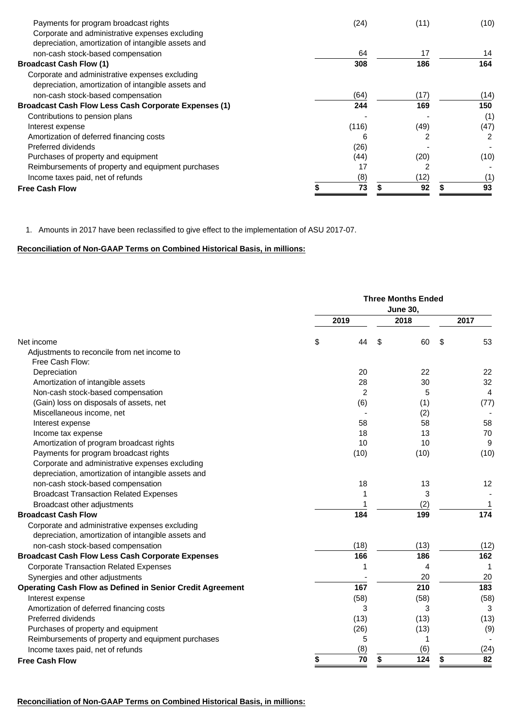| Payments for program broadcast rights<br>(24)<br>(11)<br>Corporate and administrative expenses excluding<br>depreciation, amortization of intangible assets and<br>17<br>64<br>non-cash stock-based compensation<br>308<br>186<br><b>Broadcast Cash Flow (1)</b><br>Corporate and administrative expenses excluding | (10)<br>14<br>164 |
|---------------------------------------------------------------------------------------------------------------------------------------------------------------------------------------------------------------------------------------------------------------------------------------------------------------------|-------------------|
|                                                                                                                                                                                                                                                                                                                     |                   |
|                                                                                                                                                                                                                                                                                                                     |                   |
|                                                                                                                                                                                                                                                                                                                     |                   |
|                                                                                                                                                                                                                                                                                                                     |                   |
|                                                                                                                                                                                                                                                                                                                     |                   |
| depreciation, amortization of intangible assets and                                                                                                                                                                                                                                                                 |                   |
| (64)<br>(17)<br>non-cash stock-based compensation                                                                                                                                                                                                                                                                   | (14)              |
| 244<br>169<br><b>Broadcast Cash Flow Less Cash Corporate Expenses (1)</b>                                                                                                                                                                                                                                           | 150               |
| Contributions to pension plans                                                                                                                                                                                                                                                                                      | (1)               |
| (116)<br>(49)<br>Interest expense                                                                                                                                                                                                                                                                                   | (47)              |
| Amortization of deferred financing costs<br>2<br>6                                                                                                                                                                                                                                                                  |                   |
| Preferred dividends<br>(26)                                                                                                                                                                                                                                                                                         |                   |
| (44)<br>Purchases of property and equipment<br>(20)                                                                                                                                                                                                                                                                 | (10)              |
| 17<br>Reimbursements of property and equipment purchases                                                                                                                                                                                                                                                            |                   |
| (8)<br>(12)<br>Income taxes paid, net of refunds                                                                                                                                                                                                                                                                    | (1'               |
| 73<br>92<br><b>Free Cash Flow</b>                                                                                                                                                                                                                                                                                   | 93                |

1. Amounts in 2017 have been reclassified to give effect to the implementation of ASU 2017-07.

# **Reconciliation of Non-GAAP Terms on Combined Historical Basis, in millions:**

|                                                                  |      | <b>Three Months Ended</b> |          |          |  |
|------------------------------------------------------------------|------|---------------------------|----------|----------|--|
|                                                                  | 2019 |                           | 2018     | 2017     |  |
| Net income                                                       | \$   | 44                        | \$<br>60 | \$<br>53 |  |
| Adjustments to reconcile from net income to                      |      |                           |          |          |  |
| Free Cash Flow:                                                  |      |                           |          |          |  |
| Depreciation                                                     |      | 20                        | 22       | 22       |  |
| Amortization of intangible assets                                |      | 28                        | 30       | 32       |  |
| Non-cash stock-based compensation                                |      | $\overline{2}$            | 5        | 4        |  |
| (Gain) loss on disposals of assets, net                          |      | (6)                       | (1)      | (77)     |  |
| Miscellaneous income, net                                        |      |                           | (2)      |          |  |
| Interest expense                                                 |      | 58                        | 58       | 58       |  |
| Income tax expense                                               |      | 18                        | 13       | 70       |  |
| Amortization of program broadcast rights                         |      | 10                        | 10       | 9        |  |
| Payments for program broadcast rights                            |      | (10)                      | (10)     | (10)     |  |
| Corporate and administrative expenses excluding                  |      |                           |          |          |  |
| depreciation, amortization of intangible assets and              |      |                           |          |          |  |
| non-cash stock-based compensation                                |      | 18                        | 13       | 12       |  |
| <b>Broadcast Transaction Related Expenses</b>                    |      | 1                         | 3        |          |  |
| Broadcast other adjustments                                      |      |                           | (2)      | 1        |  |
| <b>Broadcast Cash Flow</b>                                       |      | 184                       | 199      | 174      |  |
| Corporate and administrative expenses excluding                  |      |                           |          |          |  |
| depreciation, amortization of intangible assets and              |      |                           |          |          |  |
| non-cash stock-based compensation                                |      | (18)                      | (13)     | (12)     |  |
| <b>Broadcast Cash Flow Less Cash Corporate Expenses</b>          |      | 166                       | 186      | 162      |  |
| <b>Corporate Transaction Related Expenses</b>                    |      | 1                         | 4        |          |  |
| Synergies and other adjustments                                  |      |                           | 20       | 20       |  |
| <b>Operating Cash Flow as Defined in Senior Credit Agreement</b> |      | 167                       | 210      | 183      |  |
| Interest expense                                                 |      | (58)                      | (58)     | (58)     |  |
| Amortization of deferred financing costs                         |      | 3                         | 3        | 3        |  |
| Preferred dividends                                              |      | (13)                      | (13)     | (13)     |  |
| Purchases of property and equipment                              |      | (26)                      | (13)     | (9)      |  |
| Reimbursements of property and equipment purchases               |      | 5                         | 1        |          |  |
| Income taxes paid, net of refunds                                |      | (8)                       | (6)      | (24)     |  |
| <b>Free Cash Flow</b>                                            | \$   | 70                        | 124      | 82<br>\$ |  |
|                                                                  |      |                           |          |          |  |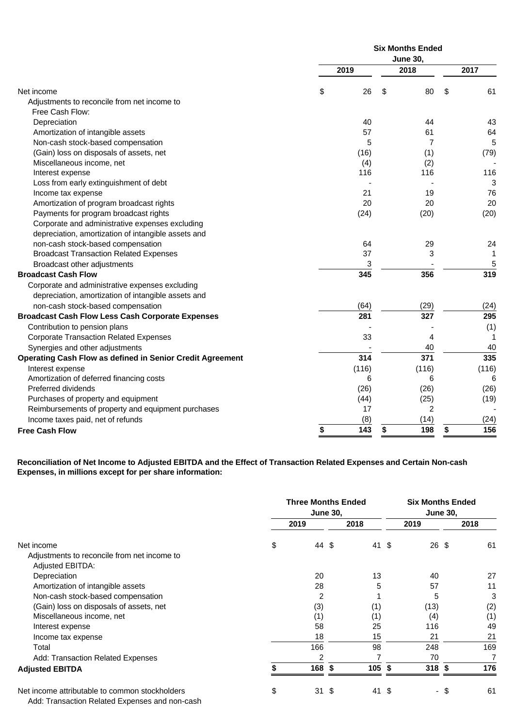|                                                                  | <b>Six Months Ended</b> |       |                 |                |  |  |  |
|------------------------------------------------------------------|-------------------------|-------|-----------------|----------------|--|--|--|
|                                                                  |                         |       | <b>June 30,</b> |                |  |  |  |
|                                                                  |                         | 2019  | 2018            | 2017           |  |  |  |
| Net income                                                       | \$                      | 26    | \$<br>80        | \$<br>61       |  |  |  |
| Adjustments to reconcile from net income to                      |                         |       |                 |                |  |  |  |
| Free Cash Flow:                                                  |                         |       |                 |                |  |  |  |
| Depreciation                                                     |                         | 40    | 44              | 43             |  |  |  |
| Amortization of intangible assets                                |                         | 57    | 61              | 64             |  |  |  |
| Non-cash stock-based compensation                                |                         | 5     | $\overline{7}$  | $\overline{5}$ |  |  |  |
| (Gain) loss on disposals of assets, net                          |                         | (16)  | (1)             | (79)           |  |  |  |
| Miscellaneous income, net                                        |                         | (4)   | (2)             |                |  |  |  |
| Interest expense                                                 |                         | 116   | 116             | 116            |  |  |  |
| Loss from early extinguishment of debt                           |                         |       |                 | 3              |  |  |  |
| Income tax expense                                               |                         | 21    | 19              | 76             |  |  |  |
| Amortization of program broadcast rights                         |                         | 20    | 20              | 20             |  |  |  |
| Payments for program broadcast rights                            |                         | (24)  | (20)            | (20)           |  |  |  |
| Corporate and administrative expenses excluding                  |                         |       |                 |                |  |  |  |
| depreciation, amortization of intangible assets and              |                         |       |                 |                |  |  |  |
| non-cash stock-based compensation                                |                         | 64    | 29              | 24             |  |  |  |
| <b>Broadcast Transaction Related Expenses</b>                    |                         | 37    | 3               | $\mathbf{1}$   |  |  |  |
| Broadcast other adjustments                                      |                         | 3     |                 | 5              |  |  |  |
| <b>Broadcast Cash Flow</b>                                       |                         | 345   | 356             | 319            |  |  |  |
| Corporate and administrative expenses excluding                  |                         |       |                 |                |  |  |  |
| depreciation, amortization of intangible assets and              |                         |       |                 |                |  |  |  |
| non-cash stock-based compensation                                |                         | (64)  | (29)            | (24)           |  |  |  |
| <b>Broadcast Cash Flow Less Cash Corporate Expenses</b>          |                         | 281   | 327             | 295            |  |  |  |
| Contribution to pension plans                                    |                         |       |                 | (1)            |  |  |  |
| <b>Corporate Transaction Related Expenses</b>                    |                         | 33    | 4               | 1              |  |  |  |
| Synergies and other adjustments                                  |                         |       | 40              | 40             |  |  |  |
| <b>Operating Cash Flow as defined in Senior Credit Agreement</b> |                         | 314   | 371             | 335            |  |  |  |
| Interest expense                                                 |                         | (116) | (116)           | (116)          |  |  |  |
| Amortization of deferred financing costs                         |                         | 6     | 6               | 6              |  |  |  |
| Preferred dividends                                              |                         | (26)  | (26)            | (26)           |  |  |  |
| Purchases of property and equipment                              |                         | (44)  | (25)            | (19)           |  |  |  |
| Reimbursements of property and equipment purchases               |                         | 17    | 2               |                |  |  |  |
| Income taxes paid, net of refunds                                |                         | (8)   | (14)            | (24)           |  |  |  |
| <b>Free Cash Flow</b>                                            | \$                      | 143   | \$<br>198       | 156<br>\$      |  |  |  |
|                                                                  |                         |       |                 |                |  |  |  |

**Reconciliation of Net Income to Adjusted EBITDA and the Effect of Transaction Related Expenses and Certain Non-cash Expenses, in millions except for per share information:**

|                                                | <b>Three Months Ended</b><br><b>June 30,</b> |       |     |        |      | <b>Six Months Ended</b><br><b>June 30,</b> |    |      |  |
|------------------------------------------------|----------------------------------------------|-------|-----|--------|------|--------------------------------------------|----|------|--|
|                                                |                                              | 2019  |     | 2018   |      | 2019                                       |    | 2018 |  |
| Net income                                     | \$                                           | 44 \$ |     | 41 \$  |      | 26 \$                                      |    | 61   |  |
| Adjustments to reconcile from net income to    |                                              |       |     |        |      |                                            |    |      |  |
| Adjusted EBITDA:                               |                                              |       |     |        |      |                                            |    |      |  |
| Depreciation                                   |                                              | 20    |     | 13     |      | 40                                         |    | 27   |  |
| Amortization of intangible assets              |                                              | 28    |     | 5      |      | 57                                         |    | 11   |  |
| Non-cash stock-based compensation              |                                              | 2     |     |        |      | 5                                          |    | 3    |  |
| (Gain) loss on disposals of assets, net        |                                              | (3)   |     | (1)    |      | (13)                                       |    | (2)  |  |
| Miscellaneous income, net                      |                                              | (1)   |     | (1)    |      | (4)                                        |    | (1)  |  |
| Interest expense                               |                                              | 58    |     | 25     |      | 116                                        |    | 49   |  |
| Income tax expense                             |                                              | 18    |     | 15     |      | 21                                         |    | 21   |  |
| Total                                          |                                              | 166   |     | 98     |      | 248                                        |    | 169  |  |
| Add: Transaction Related Expenses              |                                              | 2     |     | 7      |      | 70                                         |    |      |  |
| <b>Adjusted EBITDA</b>                         |                                              | 168   | \$  | 105 \$ |      | $318$ \$                                   |    | 176  |  |
| Net income attributable to common stockholders | \$                                           | 31    | -\$ | 41     | - \$ | $\blacksquare$                             | -S | 61   |  |

Add: Transaction Related Expenses and non-cash